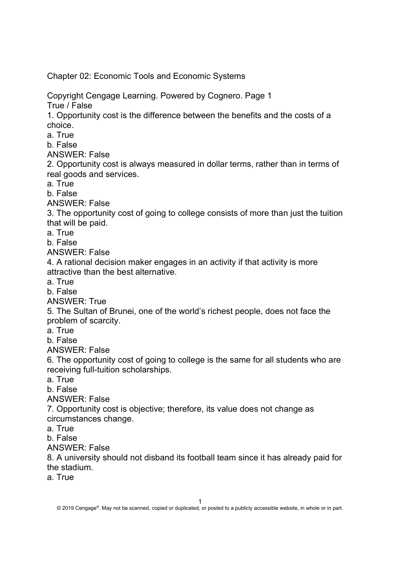Chapter 02: Economic Tools and Economic Systems

Copyright Cengage Learning. Powered by Cognero. Page 1 True / False

1. Opportunity cost is the difference between the benefits and the costs of a choice.

a. True

b. False

ANSWER: False

2. Opportunity cost is always measured in dollar terms, rather than in terms of real goods and services.

a. True

b. False

ANSWER: False

3. The opportunity cost of going to college consists of more than just the tuition that will be paid.

a. True

b. False

ANSWER: False

4. A rational decision maker engages in an activity if that activity is more attractive than the best alternative.

a. True

b. False

ANSWER: True

5. The Sultan of Brunei, one of the world's richest people, does not face the problem of scarcity.

a. True

b. False

ANSWER: False

6. The opportunity cost of going to college is the same for all students who are receiving full-tuition scholarships.

a. True

b. False

ANSWER: False

7. Opportunity cost is objective; therefore, its value does not change as circumstances change.

a. True

b. False

ANSWER: False

8. A university should not disband its football team since it has already paid for the stadium.

a. True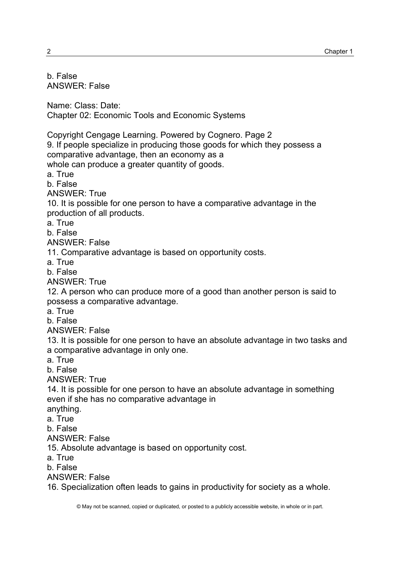| b. False<br><b>ANSWER: False</b>                                                                                                                                                                                                                            |
|-------------------------------------------------------------------------------------------------------------------------------------------------------------------------------------------------------------------------------------------------------------|
| Name: Class: Date:<br><b>Chapter 02: Economic Tools and Economic Systems</b>                                                                                                                                                                                |
| Copyright Cengage Learning. Powered by Cognero. Page 2<br>9. If people specialize in producing those goods for which they possess a<br>comparative advantage, then an economy as a<br>whole can produce a greater quantity of goods.<br>a. True<br>b. False |
| <b>ANSWER: True</b><br>10. It is possible for one person to have a comparative advantage in the<br>production of all products.<br>a. True                                                                                                                   |
| b. False<br><b>ANSWER: False</b><br>11. Comparative advantage is based on opportunity costs.<br>a. True                                                                                                                                                     |
| b. False<br><b>ANSWER: True</b><br>12. A person who can produce more of a good than another person is said to<br>possess a comparative advantage.<br>a. True                                                                                                |
| b. False<br><b>ANSWER: False</b><br>13. It is possible for one person to have an absolute advantage in two tasks and<br>a comparative advantage in only one.<br>a. True<br>b. False                                                                         |
| <b>ANSWER: True</b><br>14. It is possible for one person to have an absolute advantage in something<br>even if she has no comparative advantage in<br>anything.<br>a. True<br>b. False                                                                      |
| <b>ANSWER: False</b><br>15. Absolute advantage is based on opportunity cost.<br>a. True<br>b. False<br><b>ANSWER: False</b>                                                                                                                                 |
| 16. Specialization often leads to gains in productivity for society as a whole.                                                                                                                                                                             |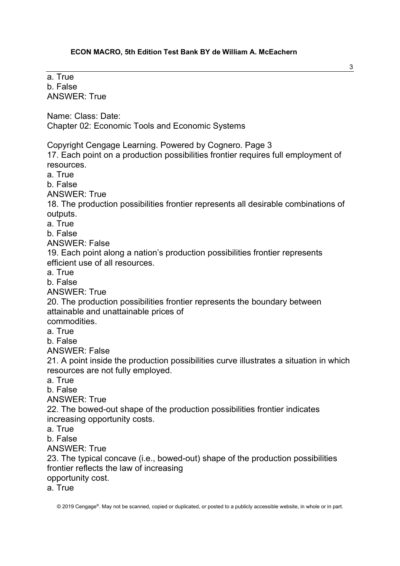a. True b. False ANSWER: True Name: Class: Date: Chapter 02: Economic Tools and Economic Systems Copyright Cengage Learning. Powered by Cognero. Page 3 17. Each point on a production possibilities frontier requires full employment of resources. a. True b. False ANSWER: True 18. The production possibilities frontier represents all desirable combinations of outputs. a. True b. False ANSWER: False 19. Each point along a nation's production possibilities frontier represents efficient use of all resources. a. True b. False ANSWER: True 20. The production possibilities frontier represents the boundary between attainable and unattainable prices of commodities. a. True b. False ANSWER: False 21. A point inside the production possibilities curve illustrates a situation in which resources are not fully employed. a. True b. False ANSWER: True 22. The bowed-out shape of the production possibilities frontier indicates increasing opportunity costs. a. True b. False ANSWER: True 23. The typical concave (i.e., bowed-out) shape of the production possibilities frontier reflects the law of increasing opportunity cost. a. True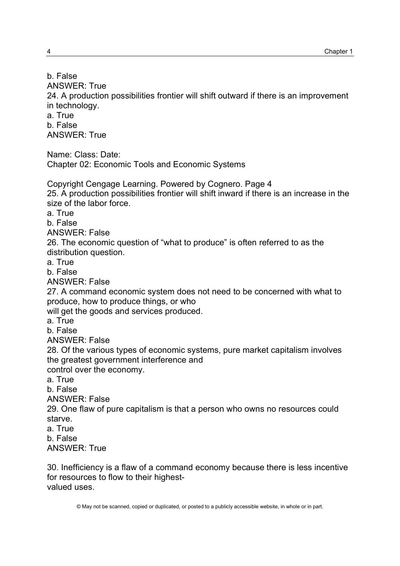ANSWER: True 24. A production possibilities frontier will shift outward if there is an improvement in technology. a. True b. False ANSWER: True Name: Class: Date: Chapter 02: Economic Tools and Economic Systems Copyright Cengage Learning. Powered by Cognero. Page 4 25. A production possibilities frontier will shift inward if there is an increase in the size of the labor force. a. True b. False ANSWER: False 26. The economic question of "what to produce" is often referred to as the distribution question. a. True b. False ANSWER: False 27. A command economic system does not need to be concerned with what to produce, how to produce things, or who will get the goods and services produced. a. True b. False ANSWER: False 28. Of the various types of economic systems, pure market capitalism involves the greatest government interference and control over the economy. a. True b. False ANSWER: False 29. One flaw of pure capitalism is that a person who owns no resources could starve. a. True b. False ANSWER: True

30. Inefficiency is a flaw of a command economy because there is less incentive for resources to flow to their highestvalued uses.

b. False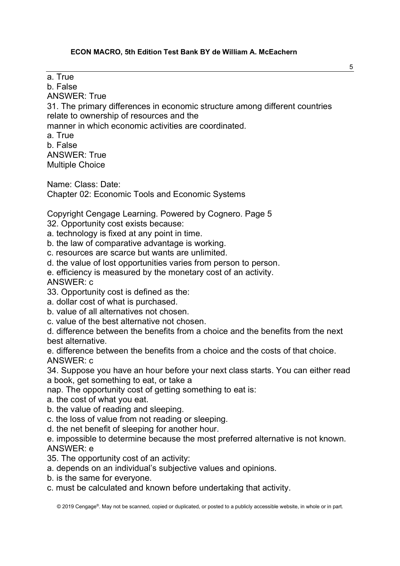a. True

b. False

ANSWER: True

31. The primary differences in economic structure among different countries relate to ownership of resources and the

manner in which economic activities are coordinated.

a. True b. False ANSWER: True Multiple Choice

Name: Class: Date: Chapter 02: Economic Tools and Economic Systems

Copyright Cengage Learning. Powered by Cognero. Page 5 32. Opportunity cost exists because:

a. technology is fixed at any point in time.

b. the law of comparative advantage is working.

c. resources are scarce but wants are unlimited.

d. the value of lost opportunities varies from person to person.

e. efficiency is measured by the monetary cost of an activity.

ANSWER: c

33. Opportunity cost is defined as the:

a. dollar cost of what is purchased.

b. value of all alternatives not chosen.

c. value of the best alternative not chosen.

d. difference between the benefits from a choice and the benefits from the next best alternative.

e. difference between the benefits from a choice and the costs of that choice. ANSWER: c

34. Suppose you have an hour before your next class starts. You can either read a book, get something to eat, or take a

nap. The opportunity cost of getting something to eat is:

a. the cost of what you eat.

b. the value of reading and sleeping.

c. the loss of value from not reading or sleeping.

d. the net benefit of sleeping for another hour.

e. impossible to determine because the most preferred alternative is not known. ANSWER: e

35. The opportunity cost of an activity:

a. depends on an individual's subjective values and opinions.

b. is the same for everyone.

c. must be calculated and known before undertaking that activity.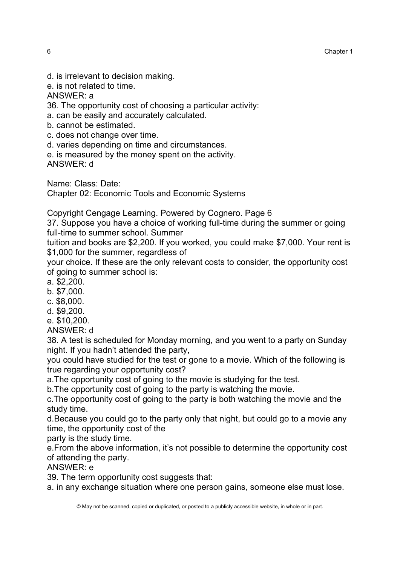- d. is irrelevant to decision making.
- e. is not related to time.

ANSWER: a

36. The opportunity cost of choosing a particular activity:

a. can be easily and accurately calculated.

b. cannot be estimated.

c. does not change over time.

d. varies depending on time and circumstances.

e. is measured by the money spent on the activity.

ANSWER: d

Name: Class: Date:

Chapter 02: Economic Tools and Economic Systems

Copyright Cengage Learning. Powered by Cognero. Page 6

37. Suppose you have a choice of working full-time during the summer or going full-time to summer school. Summer

tuition and books are \$2,200. If you worked, you could make \$7,000. Your rent is \$1,000 for the summer, regardless of

your choice. If these are the only relevant costs to consider, the opportunity cost of going to summer school is:

a. \$2,200.

b. \$7,000.

c. \$8,000.

d. \$9,200.

e. \$10,200.

ANSWER: d

38. A test is scheduled for Monday morning, and you went to a party on Sunday night. If you hadn't attended the party,

you could have studied for the test or gone to a movie. Which of the following is true regarding your opportunity cost?

a.The opportunity cost of going to the movie is studying for the test.

b.The opportunity cost of going to the party is watching the movie.

c.The opportunity cost of going to the party is both watching the movie and the study time.

d.Because you could go to the party only that night, but could go to a movie any time, the opportunity cost of the

party is the study time.

e.From the above information, it's not possible to determine the opportunity cost of attending the party.

ANSWER: e

39. The term opportunity cost suggests that:

a. in any exchange situation where one person gains, someone else must lose.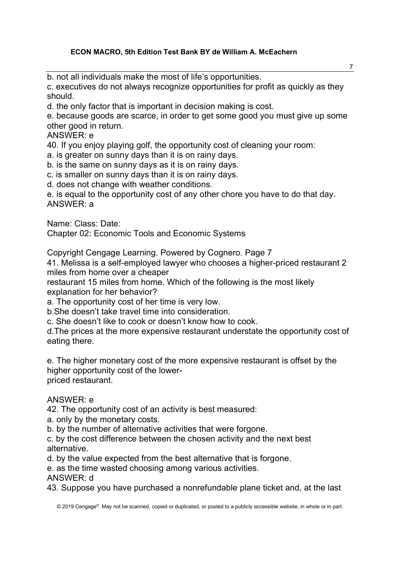b. not all individuals make the most of life's opportunities.

c. executives do not always recognize opportunities for profit as quickly as they should.

d. the only factor that is important in decision making is cost.

e. because goods are scarce, in order to get some good you must give up some other good in return.

ANSWER: e

40. If you enjoy playing golf, the opportunity cost of cleaning your room:

a. is greater on sunny days than it is on rainy days.

b. is the same on sunny days as it is on rainy days.

c. is smaller on sunny days than it is on rainy days.

d. does not change with weather conditions.

e. is equal to the opportunity cost of any other chore you have to do that day. ANSWER: a

Name: Class: Date:

Chapter 02: Economic Tools and Economic Systems

Copyright Cengage Learning. Powered by Cognero. Page 7

41. Melissa is a self-employed lawyer who chooses a higher-priced restaurant 2 miles from home over a cheaper

restaurant 15 miles from home. Which of the following is the most likely explanation for her behavior?

a. The opportunity cost of her time is very low.

b.She doesn't take travel time into consideration.

c. She doesn't like to cook or doesn't know how to cook.

d.The prices at the more expensive restaurant understate the opportunity cost of eating there.

e. The higher monetary cost of the more expensive restaurant is offset by the higher opportunity cost of the lowerpriced restaurant.

# ANSWER: e

42. The opportunity cost of an activity is best measured:

a. only by the monetary costs.

b. by the number of alternative activities that were forgone.

c. by the cost difference between the chosen activity and the next best alternative.

d. by the value expected from the best alternative that is forgone.

e. as the time wasted choosing among various activities.

ANSWER: d

43. Suppose you have purchased a nonrefundable plane ticket and, at the last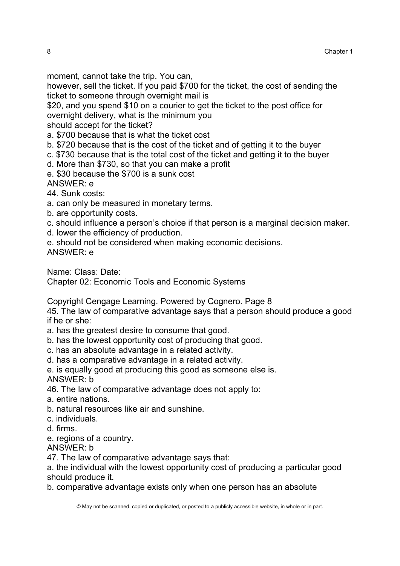moment, cannot take the trip. You can,

however, sell the ticket. If you paid \$700 for the ticket, the cost of sending the ticket to someone through overnight mail is

\$20, and you spend \$10 on a courier to get the ticket to the post office for overnight delivery, what is the minimum you

should accept for the ticket?

a. \$700 because that is what the ticket cost

b. \$720 because that is the cost of the ticket and of getting it to the buyer

c. \$730 because that is the total cost of the ticket and getting it to the buyer

d. More than \$730, so that you can make a profit

e. \$30 because the \$700 is a sunk cost

ANSWER: e

44. Sunk costs:

a. can only be measured in monetary terms.

b. are opportunity costs.

c. should influence a person's choice if that person is a marginal decision maker.

d. lower the efficiency of production.

e. should not be considered when making economic decisions.

ANSWER: e

Name: Class: Date:

Chapter 02: Economic Tools and Economic Systems

Copyright Cengage Learning. Powered by Cognero. Page 8

45. The law of comparative advantage says that a person should produce a good if he or she:

a. has the greatest desire to consume that good.

b. has the lowest opportunity cost of producing that good.

c. has an absolute advantage in a related activity.

d. has a comparative advantage in a related activity.

e. is equally good at producing this good as someone else is. ANSWER: b

46. The law of comparative advantage does not apply to:

a. entire nations.

b. natural resources like air and sunshine.

c. individuals.

d. firms.

e. regions of a country.

ANSWER: b

47. The law of comparative advantage says that:

a. the individual with the lowest opportunity cost of producing a particular good should produce it.

b. comparative advantage exists only when one person has an absolute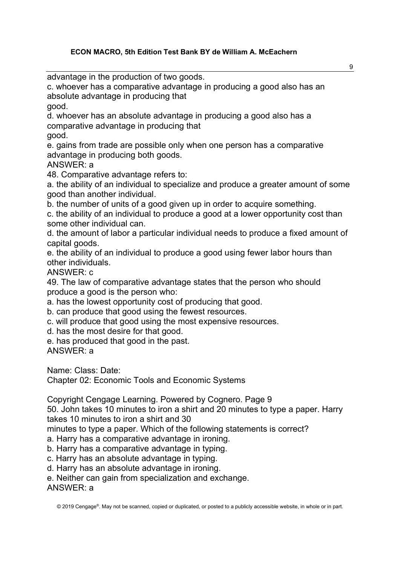advantage in the production of two goods.

c. whoever has a comparative advantage in producing a good also has an absolute advantage in producing that good.

d. whoever has an absolute advantage in producing a good also has a comparative advantage in producing that

good.

e. gains from trade are possible only when one person has a comparative advantage in producing both goods.

ANSWER: a

48. Comparative advantage refers to:

a. the ability of an individual to specialize and produce a greater amount of some good than another individual.

b. the number of units of a good given up in order to acquire something.

c. the ability of an individual to produce a good at a lower opportunity cost than some other individual can.

d. the amount of labor a particular individual needs to produce a fixed amount of capital goods.

e. the ability of an individual to produce a good using fewer labor hours than other individuals.

ANSWER: c

49. The law of comparative advantage states that the person who should produce a good is the person who:

a. has the lowest opportunity cost of producing that good.

b. can produce that good using the fewest resources.

c. will produce that good using the most expensive resources.

d. has the most desire for that good.

e. has produced that good in the past.

ANSWER: a

Name: Class: Date:

Chapter 02: Economic Tools and Economic Systems

Copyright Cengage Learning. Powered by Cognero. Page 9

50. John takes 10 minutes to iron a shirt and 20 minutes to type a paper. Harry takes 10 minutes to iron a shirt and 30

minutes to type a paper. Which of the following statements is correct?

a. Harry has a comparative advantage in ironing.

b. Harry has a comparative advantage in typing.

c. Harry has an absolute advantage in typing.

d. Harry has an absolute advantage in ironing.

e. Neither can gain from specialization and exchange.

ANSWER: a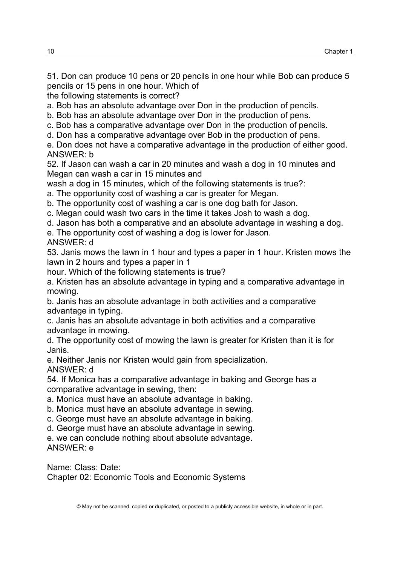51. Don can produce 10 pens or 20 pencils in one hour while Bob can produce 5 pencils or 15 pens in one hour. Which of

the following statements is correct?

a. Bob has an absolute advantage over Don in the production of pencils.

b. Bob has an absolute advantage over Don in the production of pens.

c. Bob has a comparative advantage over Don in the production of pencils.

d. Don has a comparative advantage over Bob in the production of pens.

e. Don does not have a comparative advantage in the production of either good. ANSWER: b

52. If Jason can wash a car in 20 minutes and wash a dog in 10 minutes and Megan can wash a car in 15 minutes and

wash a dog in 15 minutes, which of the following statements is true?:

a. The opportunity cost of washing a car is greater for Megan.

b. The opportunity cost of washing a car is one dog bath for Jason.

c. Megan could wash two cars in the time it takes Josh to wash a dog.

d. Jason has both a comparative and an absolute advantage in washing a dog.

e. The opportunity cost of washing a dog is lower for Jason.

ANSWER: d

53. Janis mows the lawn in 1 hour and types a paper in 1 hour. Kristen mows the lawn in 2 hours and types a paper in 1

hour. Which of the following statements is true?

a. Kristen has an absolute advantage in typing and a comparative advantage in mowing.

b. Janis has an absolute advantage in both activities and a comparative advantage in typing.

c. Janis has an absolute advantage in both activities and a comparative advantage in mowing.

d. The opportunity cost of mowing the lawn is greater for Kristen than it is for Janis.

e. Neither Janis nor Kristen would gain from specialization. ANSWER: d

54. If Monica has a comparative advantage in baking and George has a comparative advantage in sewing, then:

a. Monica must have an absolute advantage in baking.

b. Monica must have an absolute advantage in sewing.

c. George must have an absolute advantage in baking.

d. George must have an absolute advantage in sewing.

e. we can conclude nothing about absolute advantage.

ANSWER: e

Name: Class: Date: Chapter 02: Economic Tools and Economic Systems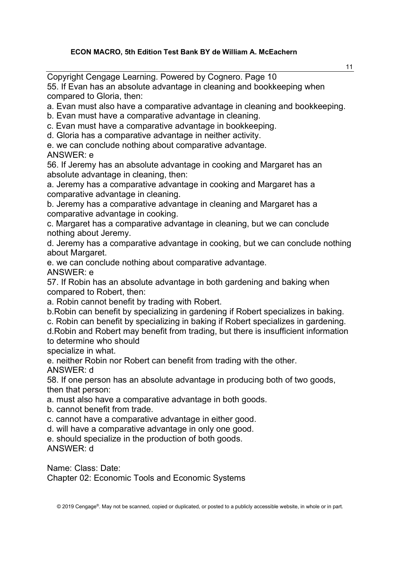11 Copyright Cengage Learning. Powered by Cognero. Page 10 55. If Evan has an absolute advantage in cleaning and bookkeeping when compared to Gloria, then: a. Evan must also have a comparative advantage in cleaning and bookkeeping. b. Evan must have a comparative advantage in cleaning. c. Evan must have a comparative advantage in bookkeeping. d. Gloria has a comparative advantage in neither activity. e. we can conclude nothing about comparative advantage. ANSWER: e 56. If Jeremy has an absolute advantage in cooking and Margaret has an absolute advantage in cleaning, then: a. Jeremy has a comparative advantage in cooking and Margaret has a comparative advantage in cleaning. b. Jeremy has a comparative advantage in cleaning and Margaret has a comparative advantage in cooking. c. Margaret has a comparative advantage in cleaning, but we can conclude nothing about Jeremy. d. Jeremy has a comparative advantage in cooking, but we can conclude nothing about Margaret. e. we can conclude nothing about comparative advantage. ANSWER: e 57. If Robin has an absolute advantage in both gardening and baking when compared to Robert, then: a. Robin cannot benefit by trading with Robert. b.Robin can benefit by specializing in gardening if Robert specializes in baking. c. Robin can benefit by specializing in baking if Robert specializes in gardening. d.Robin and Robert may benefit from trading, but there is insufficient information to determine who should specialize in what. e. neither Robin nor Robert can benefit from trading with the other. ANSWER: d 58. If one person has an absolute advantage in producing both of two goods, then that person:

a. must also have a comparative advantage in both goods.

b. cannot benefit from trade.

c. cannot have a comparative advantage in either good.

d. will have a comparative advantage in only one good.

e. should specialize in the production of both goods. ANSWER: d

Name: Class: Date: Chapter 02: Economic Tools and Economic Systems